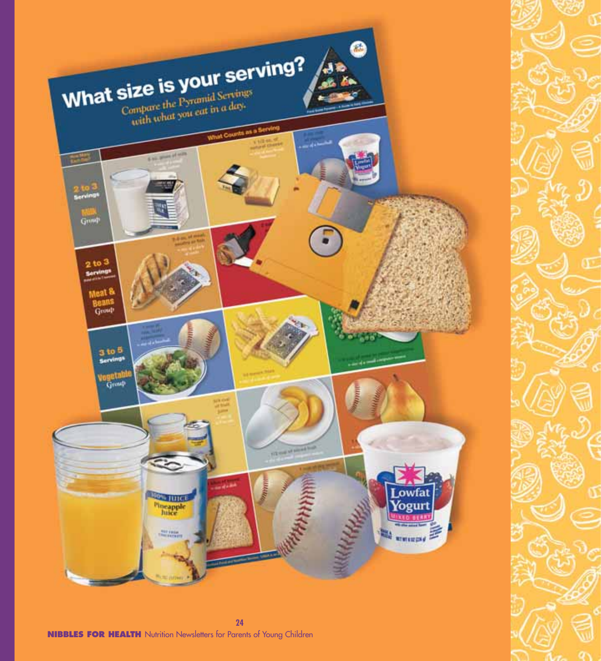

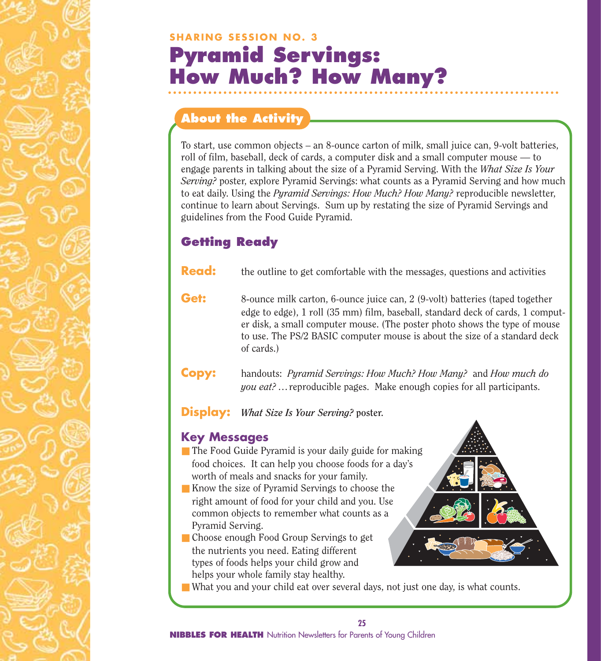## **SHARING SESSION NO. 3 Pyramid Servings: How Much? How Many?**

#### **About the Activity**

To start, use common objects – an 8-ounce carton of milk, small juice can, 9-volt batteries, roll of film, baseball, deck of cards, a computer disk and a small computer mouse — to engage parents in talking about the size of a Pyramid Serving. With the *What Size Is Your Serving?* poster, explore Pyramid Servings: what counts as a Pyramid Serving and how much to eat daily. Using the *Pyramid Servings: How Much? How Many?* reproducible newsletter, continue to learn about Servings. Sum up by restating the size of Pyramid Servings and guidelines from the Food Guide Pyramid.

### **Getting Ready**

- **Read:** the outline to get comfortable with the messages, questions and activities
- **Get:** 8-ounce milk carton, 6-ounce juice can, 2 (9-volt) batteries (taped together edge to edge), 1 roll (35 mm) film, baseball, standard deck of cards, 1 computer disk, a small computer mouse. (The poster photo shows the type of mouse to use. The PS/2 BASIC computer mouse is about the size of a standard deck of cards.)
- **Copy:** handouts: *Pyramid Servings: How Much? How Many?* and *How much do you eat? …*reproducible pages. Make enough copies for all participants.
- **Display:** *What Size Is Your Serving?* **poster.**

#### **Key Messages**

- The Food Guide Pyramid is your daily guide for making food choices. It can help you choose foods for a day's worth of meals and snacks for your family.
- Know the size of Pyramid Servings to choose the right amount of food for your child and you. Use common objects to remember what counts as a Pyramid Serving.
- Choose enough Food Group Servings to get the nutrients you need. Eating different types of foods helps your child grow and helps your whole family stay healthy.
- 
- What you and your child eat over several days, not just one day, is what counts.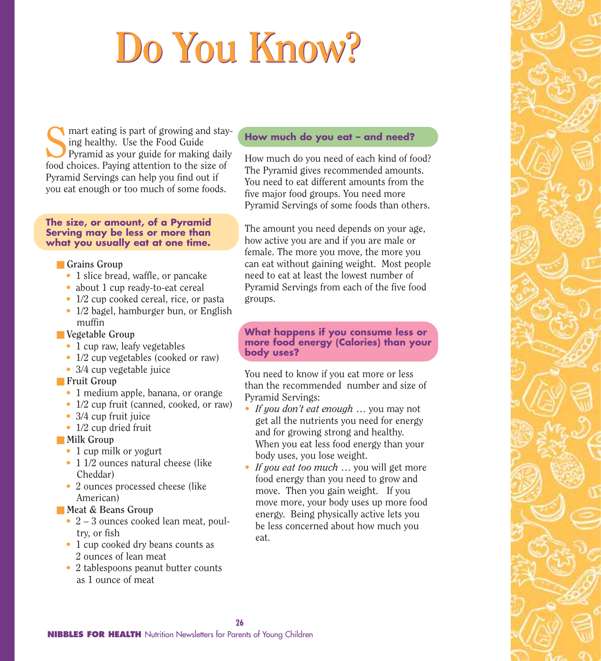# **Do You Know? Do You Know?**

Smart eating is part of growing and stay-<br>ing healthy. Use the Food Guide<br>Pyramid as your guide for making daily<br>food choices. Paying attention to the size of ing healthy. Use the Food Guide Pyramid as your guide for making daily food choices. Paying attention to the size of Pyramid Servings can help you find out if you eat enough or too much of some foods.

#### **The size, or amount, of a Pyramid Serving may be less or more than what you usually eat at one time.**

#### ■ **Grains Group**

- 1 slice bread, waffle, or pancake
- about 1 cup ready-to-eat cereal
- 1/2 cup cooked cereal, rice, or pasta
- 1/2 bagel, hamburger bun, or English muffin
- **Vegetable Group** 
	- 1 cup raw, leafy vegetables
	- 1/2 cup vegetables (cooked or raw)
	- 3/4 cup vegetable juice
- **Fruit Group** 
	- 1 medium apple, banana, or orange
	- 1/2 cup fruit (canned, cooked, or raw)
	- 3/4 cup fruit juice
	- 1/2 cup dried fruit

#### ■ Milk Group

- 1 cup milk or yogurt
- 1 1/2 ounces natural cheese (like Cheddar)
- 2 ounces processed cheese (like) American)
- **Meat & Beans Group** 
	- 2 3 ounces cooked lean meat, poultry, or fish
	- 1 cup cooked dry beans counts as 2 ounces of lean meat
	- 2 tablespoons peanut butter counts as 1 ounce of meat

#### **How much do you eat – and need?**

How much do you need of each kind of food? The Pyramid gives recommended amounts. You need to eat different amounts from the five major food groups. You need more Pyramid Servings of some foods than others.

The amount you need depends on your age, how active you are and if you are male or female. The more you move, the more you can eat without gaining weight. Most people need to eat at least the lowest number of Pyramid Servings from each of the five food groups.

**What happens if you consume less or more food energy (Calories) than your body uses?**

You need to know if you eat more or less than the recommended number and size of Pyramid Servings:

- **•** *If you don't eat enough* … you may not get all the nutrients you need for energy and for growing strong and healthy. When you eat less food energy than your body uses, you lose weight.
- **•** *If you eat too much* … you will get more food energy than you need to grow and move. Then you gain weight. If you move more, your body uses up more food energy. Being physically active lets you be less concerned about how much you eat.

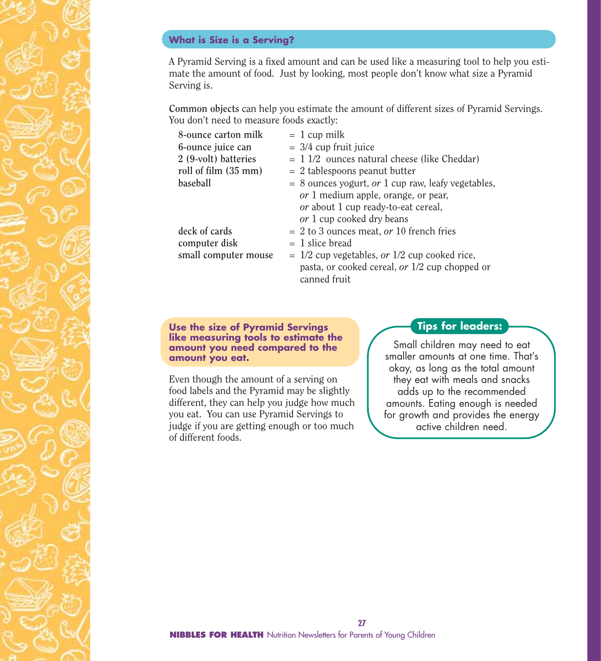#### **What is Size is a Serving?**

A Pyramid Serving is a fixed amount and can be used like a measuring tool to help you estimate the amount of food. Just by looking, most people don't know what size a Pyramid Serving is.

**Common objects** can help you estimate the amount of different sizes of Pyramid Servings. You don't need to measure foods exactly:

| 8-ounce carton milk  | $= 1$ cup milk                                       |
|----------------------|------------------------------------------------------|
| 6-ounce juice can    | $=$ 3/4 cup fruit juice                              |
| 2 (9-volt) batteries | $= 11/2$ ounces natural cheese (like Cheddar)        |
| roll of film (35 mm) | $= 2$ tablespoons peanut butter                      |
| baseball             | $= 8$ ounces yogurt, or 1 cup raw, leafy vegetables, |
|                      | <i>or</i> 1 medium apple, orange, or pear,           |
|                      | <i>or</i> about 1 cup ready-to-eat cereal,           |
|                      | or 1 cup cooked dry beans                            |
| deck of cards        | $= 2$ to 3 ounces meat, <i>or</i> 10 french fries    |
| computer disk        | $= 1$ slice bread                                    |
| small computer mouse | $= 1/2$ cup vegetables, or $1/2$ cup cooked rice,    |
|                      | pasta, or cooked cereal, or 1/2 cup chopped or       |
|                      | canned fruit                                         |

**Use the size of Pyramid Servings like measuring tools to estimate the amount you need compared to the amount you eat.**

Even though the amount of a serving on food labels and the Pyramid may be slightly different, they can help you judge how much you eat. You can use Pyramid Servings to judge if you are getting enough or too much of different foods.

#### **Tips for leaders:**

Small children may need to eat smaller amounts at one time. That's okay, as long as the total amount they eat with meals and snacks adds up to the recommended amounts. Eating enough is needed for growth and provides the energy active children need.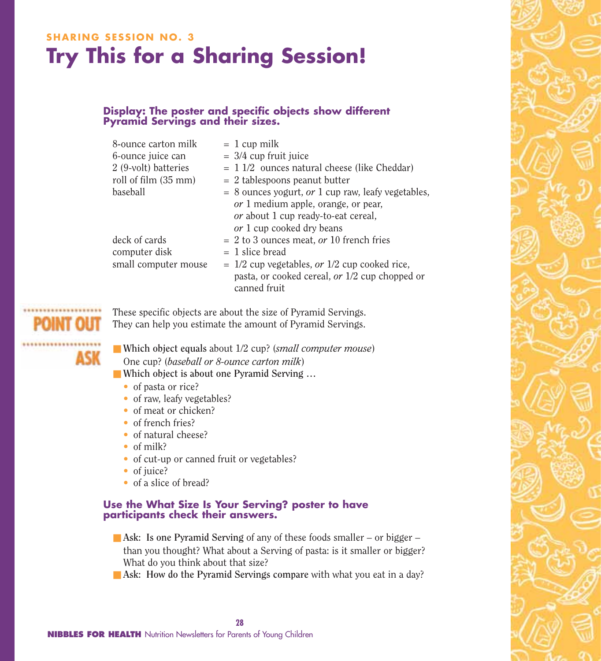## **SHARING SESSION NO. 3 Try This for a Sharing Session!**

#### **Display: The poster and specific objects show different Pyramid Servings and their sizes.**

| 8-ounce carton milk    | $= 1$ cup milk                                       |
|------------------------|------------------------------------------------------|
| 6-ounce juice can      | $=$ 3/4 cup fruit juice                              |
| $2$ (9-volt) batteries | $= 11/2$ ounces natural cheese (like Cheddar)        |
| roll of film (35 mm)   | $= 2$ tablespoons peanut butter                      |
| baseball               | $= 8$ ounces yogurt, or 1 cup raw, leafy vegetables, |
|                        | <i>or</i> 1 medium apple, orange, or pear,           |
|                        | <i>or</i> about 1 cup ready-to-eat cereal,           |
|                        | <i>or</i> 1 cup cooked dry beans                     |
| deck of cards          | $= 2$ to 3 ounces meat, or 10 french fries           |
| computer disk          | $= 1$ slice bread                                    |
| small computer mouse   | $= 1/2$ cup vegetables, or $1/2$ cup cooked rice,    |
|                        | pasta, or cooked cereal, or 1/2 cup chopped or       |
|                        | canned fruit                                         |

These specific objects are about the size of Pyramid Servings. They can help you estimate the amount of Pyramid Servings.

ASK

■ **Which object equals about 1/2 cup?** (*small computer mouse*) One cup? (*baseball or 8-ounce carton milk*)

- Which object is about one Pyramid Serving ...
	- of pasta or rice?
	- of raw, leafy vegetables?
	- of meat or chicken?
	- of french fries?
	- of natural cheese?
	- of milk?
	- of cut-up or canned fruit or vegetables?
	- of juice?
	- of a slice of bread?

#### **Use the What Size Is Your Serving? poster to have participants check their answers.**

- Ask: Is one Pyramid Serving of any of these foods smaller or bigger than you thought? What about a Serving of pasta: is it smaller or bigger? What do you think about that size?
- Ask: How do the Pyramid Servings compare with what you eat in a day?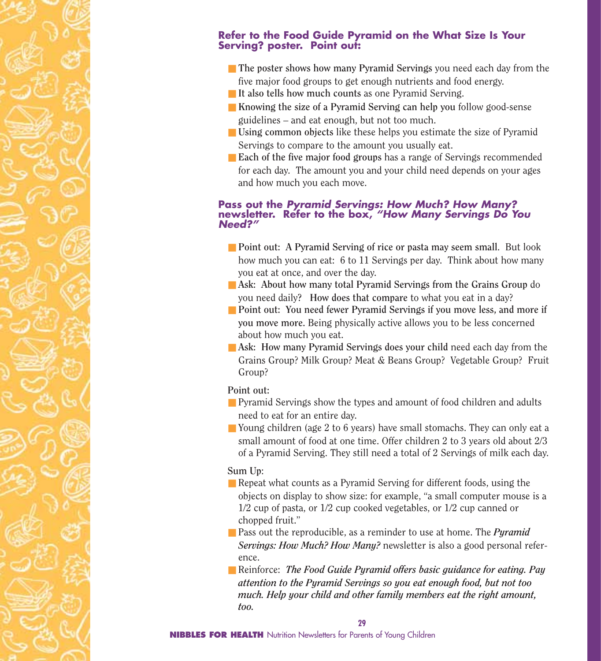#### **Refer to the Food Guide Pyramid on the What Size Is Your Serving? poster. Point out:**

- **The poster shows how many Pyramid Servings you need each day from the** five major food groups to get enough nutrients and food energy.
- It also tells how much counts as one Pyramid Serving.
- **Knowing the size of a Pyramid Serving can help you** follow good-sense guidelines – and eat enough, but not too much.
- **Using common objects** like these helps you estimate the size of Pyramid Servings to compare to the amount you usually eat.
- **Each of the five major food groups** has a range of Servings recommended for each day. The amount you and your child need depends on your ages and how much you each move.

#### **Pass out the** *Pyramid Servings: How Much? How Many?* **newsletter. Refer to the box,** *"How Many Servings Do You Need?"*

- **Point out:** A Pyramid Serving of rice or pasta may seem small. But look how much you can eat: 6 to 11 Servings per day. Think about how many you eat at once, and over the day.
- Ask: About how many total Pyramid Servings from the Grains Group do you need daily**? How does that compare** to what you eat in a day?
- **Point out: You need fewer Pyramid Servings if you move less, and more if you move more.** Being physically active allows you to be less concerned about how much you eat.
- Ask: How many Pyramid Servings does your child need each day from the Grains Group? Milk Group? Meat & Beans Group? Vegetable Group? Fruit Group?

#### **Point out:**

- Pyramid Servings show the types and amount of food children and adults need to eat for an entire day.
- Young children (age 2 to 6 years) have small stomachs. They can only eat a small amount of food at one time. Offer children 2 to 3 years old about 2/3 of a Pyramid Serving. They still need a total of 2 Servings of milk each day.

#### **Sum Up**:

- Repeat what counts as a Pyramid Serving for different foods, using the objects on display to show size: for example, "a small computer mouse is a 1/2 cup of pasta, or 1/2 cup cooked vegetables, or 1/2 cup canned or chopped fruit."
- Pass out the reproducible, as a reminder to use at home. The *Pyramid Servings: How Much? How Many?* newsletter is also a good personal reference.
- Reinforce: *The Food Guide Pyramid offers basic quidance for eating. Pay attention to the Pyramid Servings so you eat enough food, but not too much. Help your child and other family members eat the right amount, too.*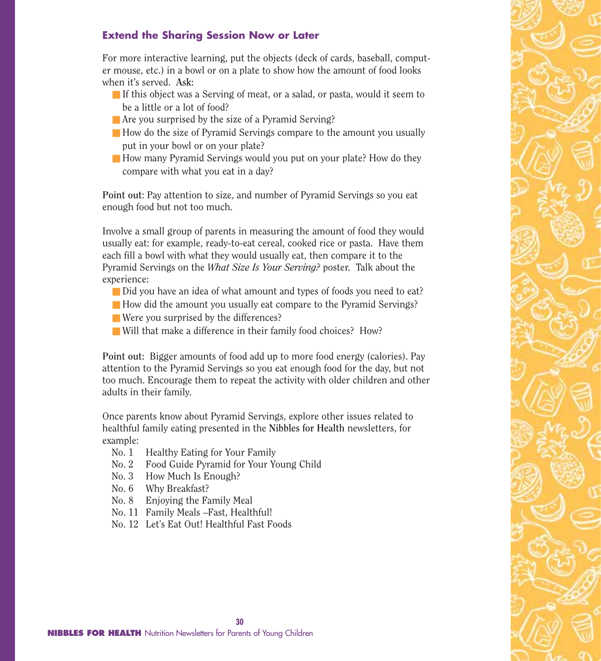#### **Extend the Sharing Session Now or Later**

For more interactive learning, put the objects (deck of cards, baseball, computer mouse, etc.) in a bowl or on a plate to show how the amount of food looks when it's served. **Ask:**

- If this object was a Serving of meat, or a salad, or pasta, would it seem to be a little or a lot of food?
- Are you surprised by the size of a Pyramid Serving?
- How do the size of Pyramid Servings compare to the amount you usually put in your bowl or on your plate?
- How many Pyramid Servings would you put on your plate? How do they compare with what you eat in a day?

**Point out**: Pay attention to size, and number of Pyramid Servings so you eat enough food but not too much.

Involve a small group of parents in measuring the amount of food they would usually eat: for example, ready-to-eat cereal, cooked rice or pasta. Have them each fill a bowl with what they would usually eat, then compare it to the Pyramid Servings on the *What Size Is Your Serving?* poster. Talk about the experience:

- Did you have an idea of what amount and types of foods you need to eat?
- How did the amount you usually eat compare to the Pyramid Servings?
- Were you surprised by the differences?
- Will that make a difference in their family food choices? How?

**Point out:** Bigger amounts of food add up to more food energy (calories). Pay attention to the Pyramid Servings so you eat enough food for the day, but not too much. Encourage them to repeat the activity with older children and other adults in their family.

Once parents know about Pyramid Servings, explore other issues related to healthful family eating presented in the **Nibbles for Health** newsletters, for example:

- No. 1 Healthy Eating for Your Family
- No. 2 Food Guide Pyramid for Your Young Child
- No. 3 How Much Is Enough?
- No. 6 Why Breakfast?
- No. 8 Enjoying the Family Meal
- No. 11 Family Meals –Fast, Healthful!
- No. 12 Let's Eat Out! Healthful Fast Foods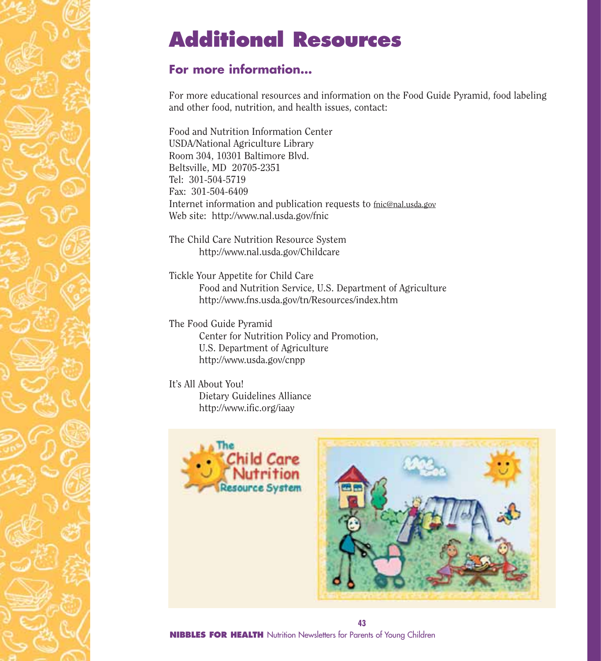## **Additional Resources**

#### **For more information…**

For more educational resources and information on the Food Guide Pyramid, food labeling and other food, nutrition, and health issues, contact:

Food and Nutrition Information Center USDA/National Agriculture Library Room 304, 10301 Baltimore Blvd. Beltsville, MD 20705-2351 Tel: 301-504-5719 Fax: 301-504-6409 Internet information and publication requests to fnic@nal.usda.gov Web site: http://www.nal.usda.gov/fnic

The Child Care Nutrition Resource System http://www.nal.usda.gov/Childcare

Tickle Your Appetite for Child Care Food and Nutrition Service, U.S. Department of Agriculture http://www.fns.usda.gov/tn/Resources/index.htm

The Food Guide Pyramid Center for Nutrition Policy and Promotion, U.S. Department of Agriculture http://www.usda.gov/cnpp

It's All About You! Dietary Guidelines Alliance http://www.ific.org/iaay